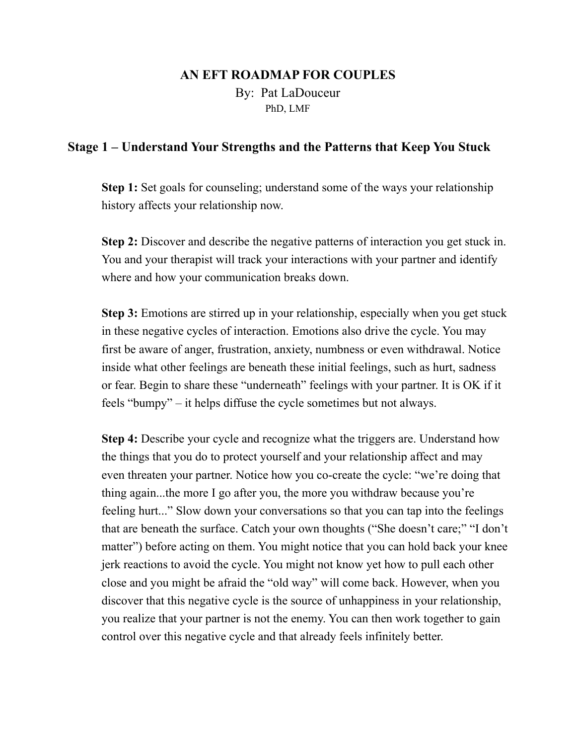## **AN EFT ROADMAP FOR COUPLES**  By: Pat LaDouceur PhD, LMF

## **Stage 1 – Understand Your Strengths and the Patterns that Keep You Stuck**

**Step 1:** Set goals for counseling; understand some of the ways your relationship history affects your relationship now.

**Step 2:** Discover and describe the negative patterns of interaction you get stuck in. You and your therapist will track your interactions with your partner and identify where and how your communication breaks down.

**Step 3:** Emotions are stirred up in your relationship, especially when you get stuck in these negative cycles of interaction. Emotions also drive the cycle. You may first be aware of anger, frustration, anxiety, numbness or even withdrawal. Notice inside what other feelings are beneath these initial feelings, such as hurt, sadness or fear. Begin to share these "underneath" feelings with your partner. It is OK if it feels "bumpy" – it helps diffuse the cycle sometimes but not always.

**Step 4:** Describe your cycle and recognize what the triggers are. Understand how the things that you do to protect yourself and your relationship affect and may even threaten your partner. Notice how you co-create the cycle: "we're doing that thing again...the more I go after you, the more you withdraw because you're feeling hurt..." Slow down your conversations so that you can tap into the feelings that are beneath the surface. Catch your own thoughts ("She doesn't care;" "I don't matter") before acting on them. You might notice that you can hold back your knee jerk reactions to avoid the cycle. You might not know yet how to pull each other close and you might be afraid the "old way" will come back. However, when you discover that this negative cycle is the source of unhappiness in your relationship, you realize that your partner is not the enemy. You can then work together to gain control over this negative cycle and that already feels infinitely better.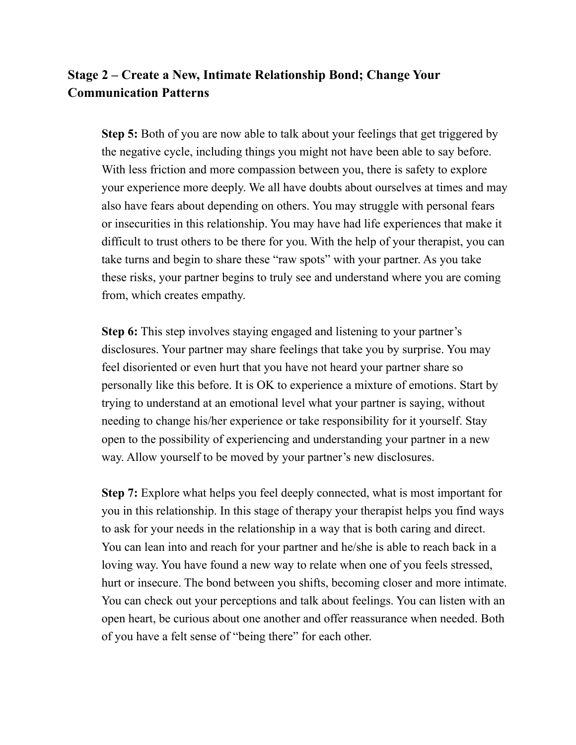## **Stage 2 – Create a New, Intimate Relationship Bond; Change Your Communication Patterns**

**Step 5:** Both of you are now able to talk about your feelings that get triggered by the negative cycle, including things you might not have been able to say before. With less friction and more compassion between you, there is safety to explore your experience more deeply. We all have doubts about ourselves at times and may also have fears about depending on others. You may struggle with personal fears or insecurities in this relationship. You may have had life experiences that make it difficult to trust others to be there for you. With the help of your therapist, you can take turns and begin to share these "raw spots" with your partner. As you take these risks, your partner begins to truly see and understand where you are coming from, which creates empathy.

**Step 6:** This step involves staying engaged and listening to your partner's disclosures. Your partner may share feelings that take you by surprise. You may feel disoriented or even hurt that you have not heard your partner share so personally like this before. It is OK to experience a mixture of emotions. Start by trying to understand at an emotional level what your partner is saying, without needing to change his/her experience or take responsibility for it yourself. Stay open to the possibility of experiencing and understanding your partner in a new way. Allow yourself to be moved by your partner's new disclosures.

**Step 7:** Explore what helps you feel deeply connected, what is most important for you in this relationship. In this stage of therapy your therapist helps you find ways to ask for your needs in the relationship in a way that is both caring and direct. You can lean into and reach for your partner and he/she is able to reach back in a loving way. You have found a new way to relate when one of you feels stressed, hurt or insecure. The bond between you shifts, becoming closer and more intimate. You can check out your perceptions and talk about feelings. You can listen with an open heart, be curious about one another and offer reassurance when needed. Both of you have a felt sense of "being there" for each other.